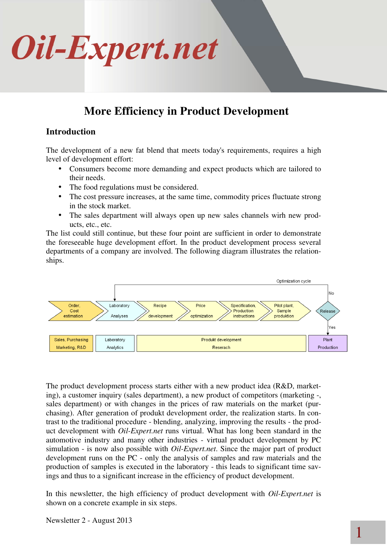### **More Efficiency in Product Development**

### **Introduction**

The development of a new fat blend that meets today's requirements, requires a high level of development effort:

- Consumers become more demanding and expect products which are tailored to their needs.
- The food regulations must be considered.
- The cost pressure increases, at the same time, commodity prices fluctuate strong in the stock market.
- The sales department will always open up new sales channels wirh new products, etc., etc.

The list could still continue, but these four point are sufficient in order to demonstrate the foreseeable huge development effort. In the product development process several departments of a company are involved. The following diagram illustrates the relationships.



The product development process starts either with a new product idea (R&D, marketing), a customer inquiry (sales department), a new product of competitors (marketing -, sales department) or with changes in the prices of raw materials on the market (purchasing). After generation of produkt development order, the realization starts. In contrast to the traditional procedure - blending, analyzing, improving the results - the product development with *Oil-Expert.net* runs virtual. What has long been standard in the automotive industry and many other industries - virtual product development by PC simulation - is now also possible with *Oil-Expert.net*. Since the major part of product development runs on the PC - only the analysis of samples and raw materials and the production of samples is executed in the laboratory - this leads to significant time savings and thus to a significant increase in the efficiency of product development.

In this newsletter, the high efficiency of product development with *Oil-Expert.net* is shown on a concrete example in six steps.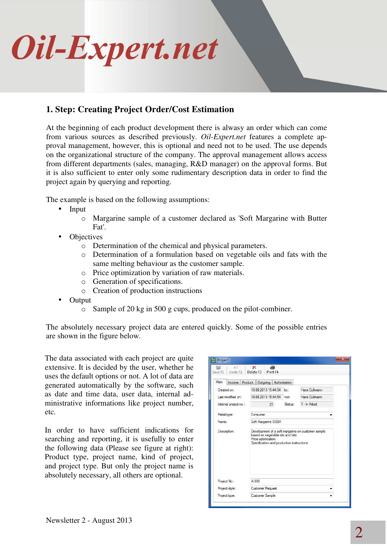

### **1. Step: Creating Project Order/Cost Estimation**

At the beginning of each product development there is alwasy an order which can come from various sources as described previously. *Oil-Expert.net* features a complete approval management, however, this is optional and need not to be used. The use depends on the organizational structure of the company. The approval management allows access from different departments (sales, managing, R&D manager) on the approval forms. But it is also sufficient to enter only some rudimentary description data in order to find the project again by querying and reporting.

The example is based on the following assumptions:

- Input
	- o Margarine sample of a customer declared as 'Soft Margarine with Butter Fat'.
- **Objectives** 
	- o Determination of the chemical and physical parameters.
	- o Determination of a formulation based on vegetable oils and fats with the same melting behaviour as the customer sample.
	- o Price optimization by variation of raw materials.
	- o Generation of specifications.
	- o Creation of production instructions
- Output
	- o Sample of 20 kg in 500 g cups, produced on the pilot-combiner.

The absolutely necessary project data are entered quickly. Some of the possible entries are shown in the figure below.

The data associated with each project are quite extensive. It is decided by the user, whether he uses the default options or not. A lot of data are generated automatically by the software, such as date and time data, user data, internal administrative informations like project number, etc.

In order to have sufficient indications for searching and reporting, it is usefully to enter the following data (Please see figure at right): Product type, project name, kind of project, and project type. But only the project name is absolutely necessary, all others are optional.

| k.<br>Undo F2<br>Save F1 | £.<br>$\boldsymbol{\times}$<br>Delete F3<br>Print F4                                                                                                      |               |               |
|--------------------------|-----------------------------------------------------------------------------------------------------------------------------------------------------------|---------------|---------------|
| Main<br>Income           | Product: Outgoing                                                                                                                                         | Authorisation |               |
| Created on:              | 16.08.2013 15:44:54                                                                                                                                       | by:           | Hans Cullmann |
| Last modified on:        | 16.08.2013 15:44:54                                                                                                                                       | von           | Hans Cullmann |
| Internal project no.:    | 23                                                                                                                                                        | Status:       | 1 - In Arbeit |
| Retail type              | Consumer                                                                                                                                                  |               |               |
| Name:                    | Soft Margarine SUBA                                                                                                                                       |               |               |
| Description:             | Development of a soft margarine on customer sample<br>based on vegetable oils and fats<br>Price optimization<br>Specification and production instructions |               |               |
| Project No.:             | A-398                                                                                                                                                     |               |               |
| Project style:           | Customer Request                                                                                                                                          |               |               |
|                          | Customer Sample                                                                                                                                           |               |               |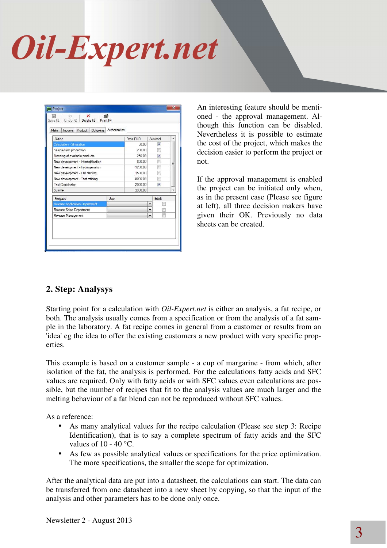| Aktion                              |      | Preis EUR |                          | Auswahl | ۸ |
|-------------------------------------|------|-----------|--------------------------|---------|---|
| Calculation - Simulation            |      | 50.00     |                          | Ø       |   |
| Sample from production              |      | 200.00    |                          | F       |   |
| Blending of available products      |      | 250.00    |                          | V       |   |
| New development - Interestification |      | 800.00    |                          | H       | Ξ |
| New development - Hydrogenation     |      | 1200.00   |                          | m       |   |
| New development - Lab refining      |      | 1500.00   |                          | 胢       |   |
| New development - Test refining     |      | 8000.00   |                          | m       |   |
| <b>Test Combinator</b>              |      | 2000.00   |                          | Ø       |   |
| Summe                               |      | 2300.00   |                          |         |   |
| Freigabe                            | User |           |                          | Erteilt |   |
| Release Application Department      |      |           | $\overline{\phantom{a}}$ |         |   |
| Release Sales Department            |      |           | ۰                        | F       |   |
| Release Management                  |      |           | $\overline{\phantom{0}}$ | 叵       |   |

An interesting feature should be mentioned - the approval management. Although this function can be disabled. Nevertheless it is possible to estimate the cost of the project, which makes the decision easier to perform the project or not.

If the approval management is enabled the project can be initiated only when, as in the present case (Please see figure at left), all three decision makers have given their OK. Previously no data sheets can be created.

### **2. Step: Analysys**

Starting point for a calculation with *Oil-Expert.net* is either an analysis, a fat recipe, or both. The analysis usually comes from a specification or from the analysis of a fat sample in the laboratory. A fat recipe comes in general from a customer or results from an 'idea' eg the idea to offer the existing customers a new product with very specific properties.

This example is based on a customer sample - a cup of margarine - from which, after isolation of the fat, the analysis is performed. For the calculations fatty acids and SFC values are required. Only with fatty acids or with SFC values even calculations are possible, but the number of recipes that fit to the analysis values are much larger and the melting behaviour of a fat blend can not be reproduced without SFC values.

As a reference:

- As many analytical values for the recipe calculation (Please see step 3: Recipe Identification), that is to say a complete spectrum of fatty acids and the SFC values of  $10 - 40$  °C.
- As few as possible analytical values or specifications for the price optimization. The more specifications, the smaller the scope for optimization.

After the analytical data are put into a datasheet, the calculations can start. The data can be transferred from one datasheet into a new sheet by copying, so that the input of the analysis and other parameters has to be done only once.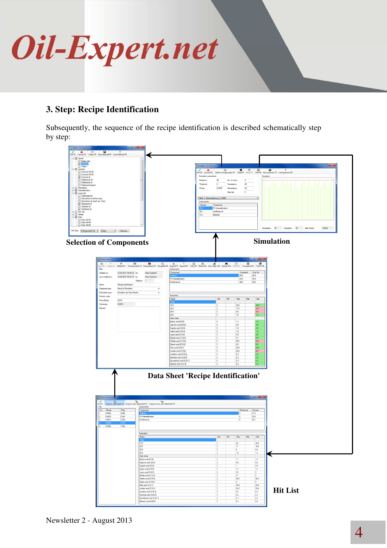

### **3. Step: Recipe Identification**

Subsequently, the sequence of the recipe identification is described schematically step by step:

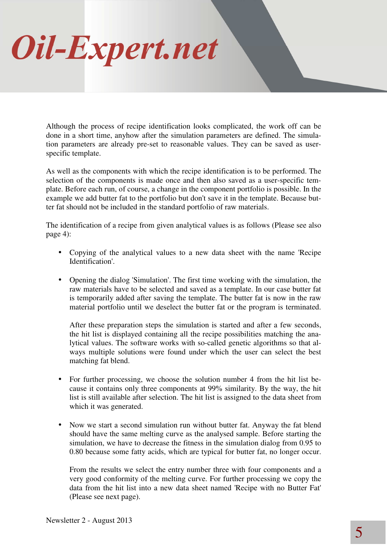Although the process of recipe identification looks complicated, the work off can be done in a short time, anyhow after the simulation parameters are defined. The simulation parameters are already pre-set to reasonable values. They can be saved as userspecific template.

As well as the components with which the recipe identification is to be performed. The selection of the components is made once and then also saved as a user-specific template. Before each run, of course, a change in the component portfolio is possible. In the example we add butter fat to the portfolio but don't save it in the template. Because butter fat should not be included in the standard portfolio of raw materials.

The identification of a recipe from given analytical values is as follows (Please see also page 4):

- Copying of the analytical values to a new data sheet with the name 'Recipe Identification'.
- Opening the dialog 'Simulation'. The first time working with the simulation, the raw materials have to be selected and saved as a template. In our case butter fat is temporarily added after saving the template. The butter fat is now in the raw material portfolio until we deselect the butter fat or the program is terminated.

After these preparation steps the simulation is started and after a few seconds, the hit list is displayed containing all the recipe possibilities matching the analytical values. The software works with so-called genetic algorithms so that always multiple solutions were found under which the user can select the best matching fat blend.

- For further processing, we choose the solution number 4 from the hit list because it contains only three components at 99% similarity. By the way, the hit list is still available after selection. The hit list is assigned to the data sheet from which it was generated.
- Now we start a second simulation run without butter fat. Anyway the fat blend should have the same melting curve as the analysed sample. Before starting the simulation, we have to decrease the fitness in the simulation dialog from 0.95 to 0.80 because some fatty acids, which are typical for butter fat, no longer occur.

From the results we select the entry number three with four components and a very good conformity of the melting curve. For further processing we copy the data from the hit list into a new data sheet named 'Recipe with no Butter Fat' (Please see next page).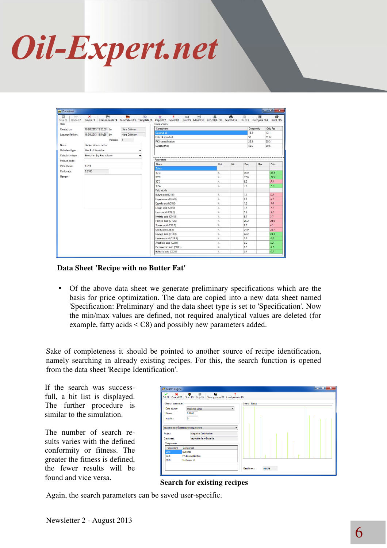| ic7<br>⊟<br>Main  | 自<br>$\boldsymbol{\times}$ | È۳            | 哈 | 刑<br>$\bullet$<br>量<br>٠<br>Save F1 Undo F2 Delete F3 Components F4 Parameters F5 Template F6 Import F7 Export F8 Calc F9 Mixer F10 Sim./Opt. F11 Search F12 Hits F13 Compare F14 Print F15<br>Components | 思                                    | 44  |            | 圃          | 4                |
|-------------------|----------------------------|---------------|---|-----------------------------------------------------------------------------------------------------------------------------------------------------------------------------------------------------------|--------------------------------------|-----|------------|------------|------------------|
| Created on:       | 16.08.2013 19:35:38 by:    | Hans Cullmann |   | Component                                                                                                                                                                                                 |                                      |     |            | Completely | Only Fat         |
| Last modified on: | 16.08.2013 19:44:56 by:    | Hans Cullmann |   | Coconut oil                                                                                                                                                                                               |                                      |     | 13.1       |            | 13.1             |
|                   |                            | Release: 1    |   | Palm oil standard                                                                                                                                                                                         |                                      |     | 31         |            | 31.0             |
|                   |                            |               |   | PK Interestification                                                                                                                                                                                      |                                      |     | 25.3       |            | 25.3             |
| Name:             | Recipe with no butter      |               |   | Sunflower oil                                                                                                                                                                                             |                                      |     | 30.6       |            | 30.6             |
| Datasheet type:   | Result of Simulation       |               |   |                                                                                                                                                                                                           |                                      |     |            |            |                  |
| Calculation type: | Simulation (by Reg Values) |               |   |                                                                                                                                                                                                           |                                      |     |            |            |                  |
| Product code:     |                            |               |   | Parameters                                                                                                                                                                                                |                                      |     |            |            |                  |
| Price (£/kg):     | 1.013                      |               |   | <b>Name</b>                                                                                                                                                                                               | Unit                                 | Min | Reg        | Max        | Calc             |
| Conformity:       | 0.8169                     |               |   | Solids                                                                                                                                                                                                    |                                      |     |            |            |                  |
|                   |                            |               |   | 10°C                                                                                                                                                                                                      | r.                                   |     | 350        |            | 358              |
| Remark:           |                            |               |   | 20°C                                                                                                                                                                                                      | Y.                                   |     | 17.0       |            | 17.4             |
|                   |                            |               |   | 30°C                                                                                                                                                                                                      | ×.                                   |     | 6.0        |            | 5.4              |
|                   |                            |               |   | 40°C                                                                                                                                                                                                      | ×.                                   |     | 1.5        |            | 7.7              |
|                   |                            |               |   | Fatty Acids                                                                                                                                                                                               |                                      |     |            |            |                  |
|                   |                            |               |   | Butyric acid (C4:0)                                                                                                                                                                                       | ×,                                   |     | 1.1        |            | $a \overline{a}$ |
|                   |                            |               |   | Capronic acid (C6:0)                                                                                                                                                                                      | $\gamma_{\rm e}$                     |     | 0.6        |            | 0.7              |
|                   |                            |               |   | Caprylic acid (C8:0)                                                                                                                                                                                      | $\gamma_{\rm e}$<br>$\gamma_{\rm e}$ |     | 1:0<br>1.4 |            | 7.4<br>7.7       |
|                   |                            |               |   | Capric acid (C10:0)<br>Lauric acid (C12:0)                                                                                                                                                                | $\gamma_{\rm e}$                     |     | 5.2        |            | 9.2              |
|                   |                            |               |   | Myristic acid (C14:0)                                                                                                                                                                                     | $\gamma_{\rm e}$                     |     | 5.1        |            | 3.7              |
|                   |                            |               |   | Palmitic acid (C16:0)                                                                                                                                                                                     | $\gamma_{\rm e}$                     |     | 26.2       |            | 28.0             |
|                   |                            |               |   | Stearic acid (C18:0)                                                                                                                                                                                      | $\gamma_{\rm e}$                     |     | 6.0        |            | 4.1              |
|                   |                            |               |   | Oleic acid (C18:1)                                                                                                                                                                                        | $\gamma_{\rm e}$                     |     | 24.9       |            | 26.7             |
|                   |                            |               |   | Linoleic acid (C18:2)                                                                                                                                                                                     | $\gamma_{\rm e}$                     |     | 24.2       |            | 24.3             |
|                   |                            |               |   | Linolenic acid (C18:3)                                                                                                                                                                                    | $\mathcal{U}_\mathrm{e}$             |     | 0.3        |            | 0.2              |
|                   |                            |               |   | Arachidic acid (C20:0)                                                                                                                                                                                    | 'n.                                  |     | 0.2        |            | 0.2              |
|                   |                            |               |   | Eicosaenoic acid (C20:1)                                                                                                                                                                                  | ×,                                   |     | 0.3        |            | 0.7              |
|                   |                            |               |   | Behenic acid (C22:0)                                                                                                                                                                                      | ×.                                   |     | 0.4        |            | 0.2              |

**Data Sheet 'Recipe with no Butter Fat'** 

• Of the above data sheet we generate preliminary specifications which are the basis for price optimization. The data are copied into a new data sheet named 'Specification: Preliminary' and the data sheet type is set to 'Specification'. Now the min/max values are defined, not required analytical values are deleted (for example, fatty acids < C8) and possibly new parameters added.

Sake of completeness it should be pointed to another source of recipe identification, namely searching in already existing recipes. For this, the search function is opened from the data sheet 'Recipe Identification'.

If the search was successfull, a hit list is displayed. The further procedure is similar to the simulation.

The number of search results varies with the defined conformity or fitness. The greater the fitness is defined, the fewer results will be found and vice versa.

| <b>Buy</b> Search Engine                                                                           | أتقارض                                                                                                                                                   | $\overline{\mathbf{x}}$ |
|----------------------------------------------------------------------------------------------------|----------------------------------------------------------------------------------------------------------------------------------------------------------|-------------------------|
|                                                                                                    | OK F1 Cancel F2 Start F3 Stop F4 Save params F5 Load params F6                                                                                           |                         |
| Search parameters<br>Data source:<br>Fitness:<br>Max hits:<br>Project:<br>Datasheet:<br>Components | Search Status<br>Required value<br>۰<br>0.9500<br>5<br>Aktuell beste Übereinstimmung: 0.9876<br>-<br>Margarine Optimization<br>Vegetable fat + Butterfat |                         |
| Fat content                                                                                        | Component                                                                                                                                                |                         |
| 29.8                                                                                               | Butterfat                                                                                                                                                |                         |
| 33.6                                                                                               | PK Interestification                                                                                                                                     |                         |
| 36.6                                                                                               | Sunflower oil                                                                                                                                            |                         |
|                                                                                                    | <b>Best fitness</b><br>0.9876                                                                                                                            |                         |

#### **Search for existing recipes**

Again, the search parameters can be saved user-specific.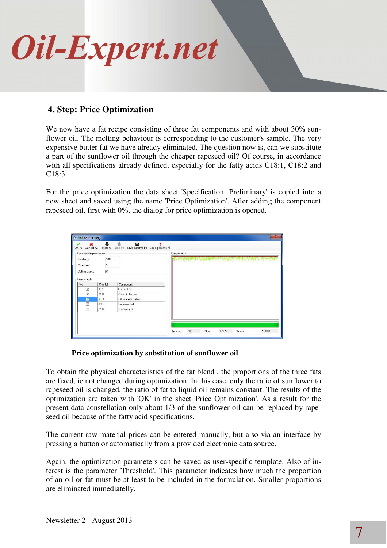

### **4. Step: Price Optimization**

We now have a fat recipe consisting of three fat components and with about 30% sunflower oil. The melting behaviour is corresponding to the customer's sample. The very expensive butter fat we have already eliminated. The question now is, can we substitute a part of the sunflower oil through the cheaper rapeseed oil? Of course, in accordance with all specifications already defined, especially for the fatty acids C18:1, C18:2 and C18:3.

For the price optimization the data sheet 'Specification: Preliminary' is copied into a new sheet and saved using the name 'Price Optimization'. After adding the component rapeseed oil, first with 0%, the dialog for price optimization is opened.

|                         |          | OK F1 Cancel F2 Start F3 Stop F4 Save params F5 Load params F6 |            |
|-------------------------|----------|----------------------------------------------------------------|------------|
| Optimization parameters |          |                                                                | Components |
| Iterations:             | 500      |                                                                |            |
| Threshold:              | 5        |                                                                |            |
| Optimize price          | M        |                                                                |            |
| Components              |          |                                                                |            |
| Fix                     | Only fat | Component                                                      |            |
| $\overline{\mathbf{v}}$ | 13.1     | Coconut oil                                                    |            |
| $\overline{v}$          | 31.0     | Palm oil standard                                              |            |
| $\overline{a}$          | 25.3     | PK Interestification                                           |            |
| 襾                       | 9.0      | Rapeseed oil                                                   |            |
| F                       | 21.6     | Sunflower oil                                                  |            |
|                         |          |                                                                |            |

### **Price optimization by substitution of sunflower oil**

To obtain the physical characteristics of the fat blend , the proportions of the three fats are fixed, ie not changed during optimization. In this case, only the ratio of sunflower to rapeseed oil is changed, the ratio of fat to liquid oil remains constant. The results of the optimization are taken with 'OK' in the sheet 'Price Optimization'. As a result for the present data constellation only about 1/3 of the sunflower oil can be replaced by rapeseed oil because of the fatty acid specifications.

The current raw material prices can be entered manually, but also via an interface by pressing a button or automatically from a provided electronic data source.

Again, the optimization parameters can be saved as user-specific template. Also of interest is the parameter 'Threshold'. This parameter indicates how much the proportion of an oil or fat must be at least to be included in the formulation. Smaller proportions are eliminated immediatelly.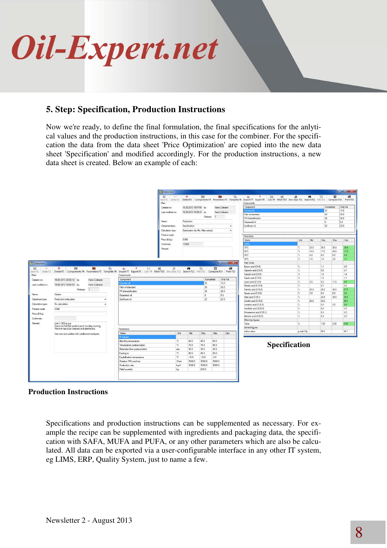

### **5. Step: Specification, Production Instructions**

Now we're ready, to define the final formulation, the final specifications for the anlytical values and the production instructions, in this case for the combiner. For the specification the data from the data sheet 'Price Optimization' are copied into the new data sheet 'Specification' and modified accordingly. For the production instructions, a new data sheet is created. Below an example of each:

|                                                                                                                                                       |                                                                                                                                                                                            |                                          | Datasheet         |                                   |                 |               |                                                                                                                                                                                                                                                                                                                                                                                                                                                                                            |                                                                                                                                                                               |                              |      |                |            | <b>REGISTER STREET</b>                             |
|-------------------------------------------------------------------------------------------------------------------------------------------------------|--------------------------------------------------------------------------------------------------------------------------------------------------------------------------------------------|------------------------------------------|-------------------|-----------------------------------|-----------------|---------------|--------------------------------------------------------------------------------------------------------------------------------------------------------------------------------------------------------------------------------------------------------------------------------------------------------------------------------------------------------------------------------------------------------------------------------------------------------------------------------------------|-------------------------------------------------------------------------------------------------------------------------------------------------------------------------------|------------------------------|------|----------------|------------|----------------------------------------------------|
|                                                                                                                                                       |                                                                                                                                                                                            |                                          | 圖<br>K<br>Main    | $\mathbf{\times}$                 | 自               | ₩             | <b>R</b>                                                                                                                                                                                                                                                                                                                                                                                                                                                                                   | 也 十 四<br>刑<br>Save F1 Undo F2 Delete F3 Components F4 Parameters F5 Template F6 Import F7 Export F8 Calc F9 Mixer F10 Sim./Opt. F11 Search F12 Hits F13 Compare F14 Print F15 | $\mathbb{B}$                 | M    | 岡              | 俪          | Ð                                                  |
|                                                                                                                                                       |                                                                                                                                                                                            |                                          |                   |                                   |                 |               |                                                                                                                                                                                                                                                                                                                                                                                                                                                                                            | Components<br>Component                                                                                                                                                       |                              |      |                | Completely | Only Fat                                           |
|                                                                                                                                                       |                                                                                                                                                                                            |                                          | Created on:       | 16.08.2013 19:57:55 by:           |                 | Hans Culmann  |                                                                                                                                                                                                                                                                                                                                                                                                                                                                                            | To anno G                                                                                                                                                                     |                              |      | 13             |            | 13.0                                               |
|                                                                                                                                                       |                                                                                                                                                                                            |                                          | Last modified on: | 16.08.2013 19:59:33 by:           |                 | Hans Cullmann |                                                                                                                                                                                                                                                                                                                                                                                                                                                                                            | Palm oil standard                                                                                                                                                             |                              |      | 30             |            | 30.0                                               |
|                                                                                                                                                       |                                                                                                                                                                                            |                                          |                   |                                   |                 | Release: 1    |                                                                                                                                                                                                                                                                                                                                                                                                                                                                                            | PK Interestification                                                                                                                                                          |                              |      | 26             |            | 26.0                                               |
|                                                                                                                                                       |                                                                                                                                                                                            |                                          | Name:             | Production                        |                 |               |                                                                                                                                                                                                                                                                                                                                                                                                                                                                                            | Rapeseed of                                                                                                                                                                   |                              |      | $\overline{9}$ |            | 9.0                                                |
|                                                                                                                                                       |                                                                                                                                                                                            |                                          | Datasheet type:   | Specification                     |                 |               |                                                                                                                                                                                                                                                                                                                                                                                                                                                                                            | Sunflower oil                                                                                                                                                                 |                              |      | 22             |            | 22.0                                               |
|                                                                                                                                                       |                                                                                                                                                                                            |                                          |                   |                                   |                 |               |                                                                                                                                                                                                                                                                                                                                                                                                                                                                                            |                                                                                                                                                                               |                              |      |                |            |                                                    |
|                                                                                                                                                       |                                                                                                                                                                                            |                                          | Calculation type: | Optimization (by Min.-Max-values) |                 |               | ۰                                                                                                                                                                                                                                                                                                                                                                                                                                                                                          |                                                                                                                                                                               |                              |      |                |            |                                                    |
|                                                                                                                                                       |                                                                                                                                                                                            |                                          | Product code:     |                                   |                 |               |                                                                                                                                                                                                                                                                                                                                                                                                                                                                                            | Parameters                                                                                                                                                                    |                              |      |                |            |                                                    |
|                                                                                                                                                       |                                                                                                                                                                                            |                                          | Price (€/kg):     | 0.990                             |                 |               |                                                                                                                                                                                                                                                                                                                                                                                                                                                                                            | Name                                                                                                                                                                          | Unit                         | Min  | Reg            | Max        | Calc                                               |
|                                                                                                                                                       |                                                                                                                                                                                            |                                          | Conformity:       | 1,0000                            |                 |               |                                                                                                                                                                                                                                                                                                                                                                                                                                                                                            | <b>Solds</b>                                                                                                                                                                  |                              |      |                |            |                                                    |
|                                                                                                                                                       |                                                                                                                                                                                            |                                          | Remark:           |                                   |                 |               |                                                                                                                                                                                                                                                                                                                                                                                                                                                                                            | 10°C                                                                                                                                                                          | $\frac{1}{2}$                | 32.0 | 35.0           | 38.0       | 35.8                                               |
|                                                                                                                                                       |                                                                                                                                                                                            |                                          |                   |                                   |                 |               |                                                                                                                                                                                                                                                                                                                                                                                                                                                                                            | 20°C                                                                                                                                                                          | $\gamma_{\rm c}$             | 14.0 | 17.0           | 20.0       | 17.5                                               |
|                                                                                                                                                       |                                                                                                                                                                                            |                                          |                   |                                   |                 |               |                                                                                                                                                                                                                                                                                                                                                                                                                                                                                            | 30°C                                                                                                                                                                          | $\mathbf{z}$                 | 4.0  | 6.0            | 8.0        | 5.4                                                |
|                                                                                                                                                       |                                                                                                                                                                                            |                                          |                   |                                   |                 |               |                                                                                                                                                                                                                                                                                                                                                                                                                                                                                            | 40°C                                                                                                                                                                          | $\gamma_{\rm c}$             | 1.0  | 1.5            | 3.0        | 7.7                                                |
| <b>Datasheet</b>                                                                                                                                      |                                                                                                                                                                                            |                                          |                   |                                   |                 |               | $\blacksquare$ $\blacksquare$ $\blacksquare$ $\blacksquare$ $\blacksquare$ $\blacksquare$ $\blacksquare$ $\blacksquare$ $\blacksquare$ $\blacksquare$ $\blacksquare$ $\blacksquare$ $\blacksquare$ $\blacksquare$ $\blacksquare$ $\blacksquare$ $\blacksquare$ $\blacksquare$ $\blacksquare$ $\blacksquare$ $\blacksquare$ $\blacksquare$ $\blacksquare$ $\blacksquare$ $\blacksquare$ $\blacksquare$ $\blacksquare$ $\blacksquare$ $\blacksquare$ $\blacksquare$ $\blacksquare$ $\blacks$ | Fatty Acids                                                                                                                                                                   |                              |      |                |            |                                                    |
| <b>Tud</b>                                                                                                                                            |                                                                                                                                                                                            |                                          |                   |                                   |                 |               |                                                                                                                                                                                                                                                                                                                                                                                                                                                                                            | Butvric acid (C4:0)                                                                                                                                                           | $\frac{9}{4}$                |      | 1.1            |            | 0.0                                                |
| K                                                                                                                                                     | ⊜<br>臝<br>喻<br>$\times$<br>Save F1 Undo F2 Delete F3 Components F4 Parameters F5 Template F6 Import F7 Export F8 Calc F9 Mixer F10 Sim./Opt. F11 Search F12 Hits F13 Compare F14 Print F15 | $\bullet$<br>$\frac{1}{2}$ $\frac{1}{2}$ | 州<br>思            | m                                 | 腀               | 俪             | 6                                                                                                                                                                                                                                                                                                                                                                                                                                                                                          | Capronic acid (C6:0)                                                                                                                                                          | $\gamma_{\rm c}$             |      | 0.6            |            | 0.1                                                |
|                                                                                                                                                       |                                                                                                                                                                                            |                                          |                   |                                   |                 |               |                                                                                                                                                                                                                                                                                                                                                                                                                                                                                            |                                                                                                                                                                               |                              |      | 1.0            |            |                                                    |
|                                                                                                                                                       |                                                                                                                                                                                            |                                          |                   |                                   |                 |               |                                                                                                                                                                                                                                                                                                                                                                                                                                                                                            |                                                                                                                                                                               | $\gamma_{\rm c}$             |      |                |            |                                                    |
|                                                                                                                                                       |                                                                                                                                                                                            | Components                               |                   |                                   |                 |               |                                                                                                                                                                                                                                                                                                                                                                                                                                                                                            | Caprylic acid (C8:0)                                                                                                                                                          | $\gamma$                     |      | 14             |            |                                                    |
|                                                                                                                                                       | 16.08.2013 20:00:12 by:<br>Hans Culmann                                                                                                                                                    | Component                                |                   |                                   |                 | Completely    | Only Fat                                                                                                                                                                                                                                                                                                                                                                                                                                                                                   | Capric acid (C10:0)                                                                                                                                                           |                              |      |                |            |                                                    |
|                                                                                                                                                       | 19.08.2013 19:34:03 by:<br>Hans Culmann                                                                                                                                                    | Coconut of                               |                   |                                   | 13              |               | 13.0                                                                                                                                                                                                                                                                                                                                                                                                                                                                                       | Lauric acid (C12:0)                                                                                                                                                           | $\gamma_{\rm c}$<br>$\gamma$ | 3.0  | 5.2<br>5.1     | 11.0       |                                                    |
|                                                                                                                                                       |                                                                                                                                                                                            | Palm oil standard                        |                   |                                   | 30              |               | 30.0                                                                                                                                                                                                                                                                                                                                                                                                                                                                                       | Myristic acid (C14:0)                                                                                                                                                         | $\mathbf{z}$                 |      |                |            |                                                    |
|                                                                                                                                                       | Release: 1                                                                                                                                                                                 | PK Interestification                     |                   |                                   | 26              |               | 26.0                                                                                                                                                                                                                                                                                                                                                                                                                                                                                       | Palmtic acid (C16:0)                                                                                                                                                          |                              | 20.0 | 26.2           | 30.0       |                                                    |
|                                                                                                                                                       | Votator                                                                                                                                                                                    | Rapeseed oil                             |                   |                                   | $\overline{9}$  |               | 9.0                                                                                                                                                                                                                                                                                                                                                                                                                                                                                        | Stearic acid (C18:0)                                                                                                                                                          | $\frac{9}{26}$               | 3.0  | 6.0            | 80         |                                                    |
|                                                                                                                                                       | Production instruction                                                                                                                                                                     | Sunflower oil                            |                   |                                   | 22              |               | 22.0                                                                                                                                                                                                                                                                                                                                                                                                                                                                                       | Oleic acid (C18:1)                                                                                                                                                            | $\gamma_{\rm e}$             |      | 24.9           | 30.0       |                                                    |
|                                                                                                                                                       | No calculation                                                                                                                                                                             |                                          |                   |                                   |                 |               |                                                                                                                                                                                                                                                                                                                                                                                                                                                                                            | Linoleic acid (C18:2)                                                                                                                                                         | $\mathbf{z}$                 | 20.0 | 24.2           |            |                                                    |
|                                                                                                                                                       |                                                                                                                                                                                            |                                          |                   |                                   |                 |               |                                                                                                                                                                                                                                                                                                                                                                                                                                                                                            | Linolenic acid (C18:3)                                                                                                                                                        | $\%$                         |      | 0.3            | 3.0        | 7.4<br>92<br>3.8<br>3.9<br>0.9                     |
|                                                                                                                                                       | A398                                                                                                                                                                                       |                                          |                   |                                   |                 |               |                                                                                                                                                                                                                                                                                                                                                                                                                                                                                            | Arachidic acid (C20:0)                                                                                                                                                        | $\mathbb{Z}_2$               |      | 0.2            |            |                                                    |
|                                                                                                                                                       |                                                                                                                                                                                            |                                          |                   |                                   |                 |               |                                                                                                                                                                                                                                                                                                                                                                                                                                                                                            | Eicosaenoic acid (C20:1)                                                                                                                                                      | $\%$<br>$\mathbf{z}$         |      | 0.3            |            | 0.3                                                |
|                                                                                                                                                       |                                                                                                                                                                                            |                                          |                   |                                   |                 |               |                                                                                                                                                                                                                                                                                                                                                                                                                                                                                            | Behenic acid (C22:0)                                                                                                                                                          |                              |      | 0.4            |            | 0.2                                                |
|                                                                                                                                                       |                                                                                                                                                                                            |                                          |                   |                                   |                 |               |                                                                                                                                                                                                                                                                                                                                                                                                                                                                                            | Other key figures                                                                                                                                                             |                              |      |                |            |                                                    |
|                                                                                                                                                       | Line 1: 500 g cup<br>Has to be the first product each monday moming.                                                                                                                       |                                          |                   |                                   |                 |               |                                                                                                                                                                                                                                                                                                                                                                                                                                                                                            | Trans                                                                                                                                                                         | $\mathcal{U}$                |      | 1.00           | 2.00       |                                                    |
|                                                                                                                                                       | The line has to be cleaned and disinfected.                                                                                                                                                | Parameters                               |                   |                                   |                 |               |                                                                                                                                                                                                                                                                                                                                                                                                                                                                                            | General figures                                                                                                                                                               |                              |      |                |            |                                                    |
|                                                                                                                                                       | Use new euro pallets with cardboard interlayers.                                                                                                                                           | Name                                     | Unit              | Min                               | Reg             | Max           | Calc                                                                                                                                                                                                                                                                                                                                                                                                                                                                                       | lodine value                                                                                                                                                                  | $q$ Jod/10 $q$               |      | 65.0           |            |                                                    |
|                                                                                                                                                       |                                                                                                                                                                                            | PI Votator                               |                   |                                   |                 |               |                                                                                                                                                                                                                                                                                                                                                                                                                                                                                            |                                                                                                                                                                               |                              |      |                |            |                                                    |
|                                                                                                                                                       |                                                                                                                                                                                            | <b>Blending temperature</b>              | °C.               | 40.0                              | 45.0            | 50.0          |                                                                                                                                                                                                                                                                                                                                                                                                                                                                                            |                                                                                                                                                                               |                              |      |                |            |                                                    |
|                                                                                                                                                       |                                                                                                                                                                                            | Temperature pasteurization               | °C.               | 70.0                              | 75.0            | 80.0          |                                                                                                                                                                                                                                                                                                                                                                                                                                                                                            |                                                                                                                                                                               |                              |      |                |            |                                                    |
|                                                                                                                                                       |                                                                                                                                                                                            | Retension time pasteurization            | sec               | 10.0                              | 15.0            | 20.0          |                                                                                                                                                                                                                                                                                                                                                                                                                                                                                            |                                                                                                                                                                               | Specification                |      |                |            |                                                    |
|                                                                                                                                                       |                                                                                                                                                                                            |                                          | 'C.               |                                   |                 | 50.0          |                                                                                                                                                                                                                                                                                                                                                                                                                                                                                            |                                                                                                                                                                               |                              |      |                |            |                                                    |
|                                                                                                                                                       |                                                                                                                                                                                            | Cooling to                               | °C.               | 40.0                              | 45.0            |               |                                                                                                                                                                                                                                                                                                                                                                                                                                                                                            |                                                                                                                                                                               |                              |      |                |            |                                                    |
|                                                                                                                                                       |                                                                                                                                                                                            | Crystallization temperature              |                   | $-15.0$                           | $-10.0$         | $-5.0$        |                                                                                                                                                                                                                                                                                                                                                                                                                                                                                            |                                                                                                                                                                               |                              |      |                |            |                                                    |
|                                                                                                                                                       |                                                                                                                                                                                            | Rotation PIN machine                     | 1/min             | 1500.0                            | 1600.0          | 1800.0        |                                                                                                                                                                                                                                                                                                                                                                                                                                                                                            |                                                                                                                                                                               |                              |      |                |            |                                                    |
| Main<br>Created on:<br>Last modified on:<br>Name:<br>Datasheet type:<br>Calculation type:<br>Product code:<br>Price (E/kg):<br>Conformity:<br>Remark: |                                                                                                                                                                                            | Production rate<br>Pallet quantity       | kg/h<br>kg        | 1200.0                            | 1500.0<br>630.0 | 1800.0        |                                                                                                                                                                                                                                                                                                                                                                                                                                                                                            |                                                                                                                                                                               |                              |      |                |            | 7.7<br>27.8<br>29.9<br>20.4<br>0.3<br>0.59<br>64.7 |

#### **Production Instructions**

Specifications and production instructions can be supplemented as necessary. For example the recipe can be supplemented with ingredients and packaging data, the specification with SAFA, MUFA and PUFA, or any other parameters which are also be calculated. All data can be exported via a user-configurable interface in any other IT system, eg LIMS, ERP, Quality System, just to name a few.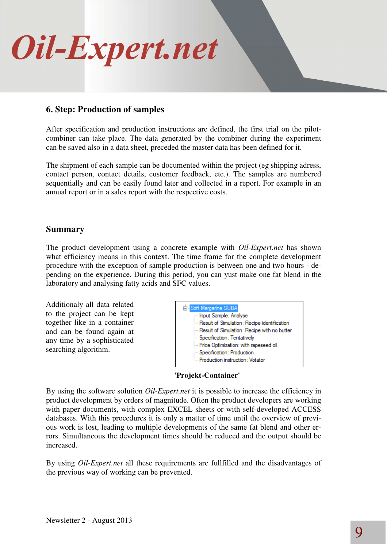

### **6. Step: Production of samples**

After specification and production instructions are defined, the first trial on the pilotcombiner can take place. The data generated by the combiner during the experiment can be saved also in a data sheet, preceded the master data has been defined for it.

The shipment of each sample can be documented within the project (eg shipping adress, contact person, contact details, customer feedback, etc.). The samples are numbered sequentially and can be easily found later and collected in a report. For example in an annual report or in a sales report with the respective costs.

### **Summary**

The product development using a concrete example with *Oil-Expert.net* has shown what efficiency means in this context. The time frame for the complete development procedure with the exception of sample production is between one and two hours - depending on the experience. During this period, you can yust make one fat blend in the laboratory and analysing fatty acids and SFC values.

Additionaly all data related to the project can be kept together like in a container and can be found again at any time by a sophisticated searching algorithm.



**'Projekt-Container'** 

By using the software solution *Oil-Expert.net* it is possible to increase the efficiency in product development by orders of magnitude. Often the product developers are working with paper documents, with complex EXCEL sheets or with self-developed ACCESS databases. With this procedures it is only a matter of time until the overview of previous work is lost, leading to multiple developments of the same fat blend and other errors. Simultaneous the development times should be reduced and the output should be increased.

By using *Oil-Expert.net* all these requirements are fullfilled and the disadvantages of the previous way of working can be prevented.